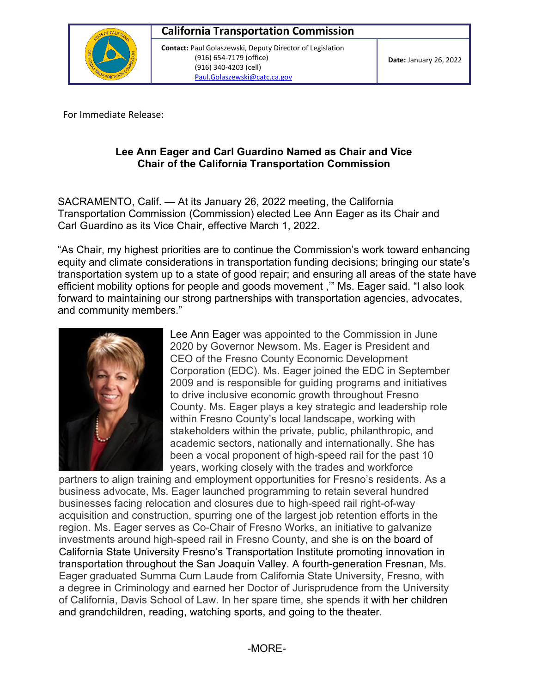

 **Contact:** Paul Golaszewski, Deputy Director of Legislation (916) 654-7179 (office) (916) 340-4203 (cell) [Paul.Golaszewski@catc.ca.gov](mailto:Paul.Golaszewski@catc.ca.gov) 

For Immediate Release:

## **Lee Ann Eager and Carl Guardino Named as Chair and Vice Chair of the California Transportation Commission**

SACRAMENTO, Calif. — At its January 26, 2022 meeting, the California Transportation Commission (Commission) elected Lee Ann Eager as its Chair and Carl Guardino as its Vice Chair, effective March 1, 2022.

"As Chair, my highest priorities are to continue the Commission's work toward enhancing equity and climate considerations in transportation funding decisions; bringing our state's transportation system up to a state of good repair; and ensuring all areas of the state have efficient mobility options for people and goods movement ,'" Ms. Eager said. "I also look forward to maintaining our strong partnerships with transportation agencies, advocates, and community members."



 stakeholders within the private, public, philanthropic, and Lee Ann Eager was appointed to the Commission in June 2020 by Governor Newsom. Ms. Eager is President and CEO of the Fresno County Economic Development Corporation (EDC). Ms. Eager joined the EDC in September 2009 and is responsible for guiding programs and initiatives to drive inclusive economic growth throughout Fresno County. Ms. Eager plays a key strategic and leadership role within Fresno County's local landscape, working with academic sectors, nationally and internationally. She has been a vocal proponent of high-speed rail for the past 10 years, working closely with the trades and workforce

 investments around high-speed rail in Fresno County, and she is on the board of and grandchildren, reading, watching sports, and going to the theater. partners to align training and employment opportunities for Fresno's residents. As a business advocate, Ms. Eager launched programming to retain several hundred businesses facing relocation and closures due to high-speed rail right-of-way acquisition and construction, spurring one of the largest job retention efforts in the region. Ms. Eager serves as Co-Chair of Fresno Works, an initiative to galvanize California State University Fresno's Transportation Institute promoting innovation in transportation throughout the San Joaquin Valley. A fourth-generation Fresnan, Ms. Eager graduated Summa Cum Laude from California State University, Fresno, with a degree in Criminology and earned her Doctor of Jurisprudence from the University of California, Davis School of Law. In her spare time, she spends it with her children